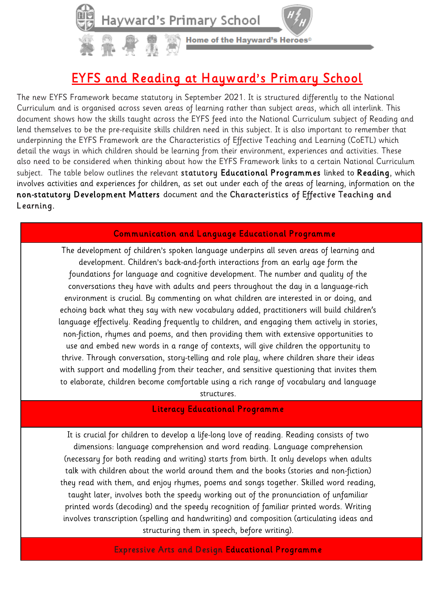

# EYFS and Reading at Hayward's Primary School

The new EYFS Framework became statutory in September 2021. It is structured differently to the National Curriculum and is organised across seven areas of learning rather than subject areas, which all interlink. This document shows how the skills taught across the EYFS feed into the National Curriculum subject of Reading and lend themselves to be the pre-requisite skills children need in this subject. It is also important to remember that underpinning the EYFS Framework are the Characteristics of Effective Teaching and Learning (CoETL) which detail the ways in which children should be learning from their environment, experiences and activities. These also need to be considered when thinking about how the EYFS Framework links to a certain National Curriculum subject. The table below outlines the relevant statutory Educational Programmes linked to Reading, which involves activities and experiences for children, as set out under each of the areas of learning, information on the non-statutory Development Matters document and the Characteristics of Effective Teaching and Learning.

## Communication and Language Educational Programme

The development of children's spoken language underpins all seven areas of learning and development. Children's back-and-forth interactions from an early age form the foundations for language and cognitive development. The number and quality of the conversations they have with adults and peers throughout the day in a language-rich environment is crucial. By commenting on what children are interested in or doing, and echoing back what they say with new vocabulary added, practitioners will build children's language effectively. Reading frequently to children, and engaging them actively in stories, non-fiction, rhymes and poems, and then providing them with extensive opportunities to use and embed new words in a range of contexts, will give children the opportunity to thrive. Through conversation, story-telling and role play, where children share their ideas with support and modelling from their teacher, and sensitive questioning that invites them to elaborate, children become comfortable using a rich range of vocabulary and language

structures.

#### Literacy Educational Programme

It is crucial for children to develop a life-long love of reading. Reading consists of two dimensions: language comprehension and word reading. Language comprehension (necessary for both reading and writing) starts from birth. It only develops when adults talk with children about the world around them and the books (stories and non-fiction) they read with them, and enjoy rhymes, poems and songs together. Skilled word reading, taught later, involves both the speedy working out of the pronunciation of unfamiliar printed words (decoding) and the speedy recognition of familiar printed words. Writing involves transcription (spelling and handwriting) and composition (articulating ideas and structuring them in speech, before writing).

Expressive Arts and Design Educational Programme